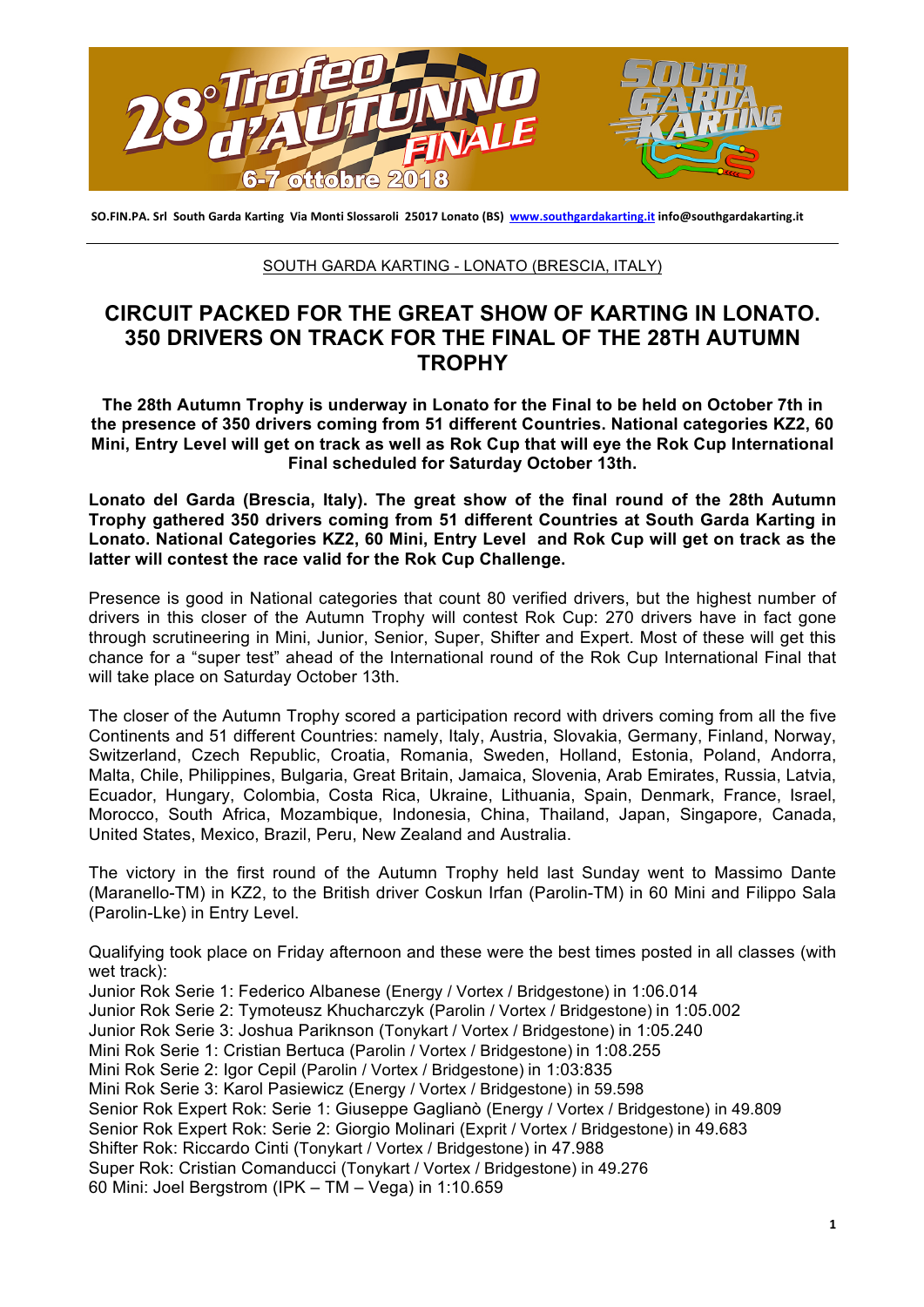

SO.FIN.PA. Srl South Garda Karting Via Monti Slossaroli 25017 Lonato (BS) www.southgardakarting.it info@southgardakarting.it

## SOUTH GARDA KARTING - LONATO (BRESCIA, ITALY)

## **CIRCUIT PACKED FOR THE GREAT SHOW OF KARTING IN LONATO. 350 DRIVERS ON TRACK FOR THE FINAL OF THE 28TH AUTUMN TROPHY**

**The 28th Autumn Trophy is underway in Lonato for the Final to be held on October 7th in the presence of 350 drivers coming from 51 different Countries. National categories KZ2, 60 Mini, Entry Level will get on track as well as Rok Cup that will eye the Rok Cup International Final scheduled for Saturday October 13th.** 

**Lonato del Garda (Brescia, Italy). The great show of the final round of the 28th Autumn Trophy gathered 350 drivers coming from 51 different Countries at South Garda Karting in Lonato. National Categories KZ2, 60 Mini, Entry Level and Rok Cup will get on track as the latter will contest the race valid for the Rok Cup Challenge.**

Presence is good in National categories that count 80 verified drivers, but the highest number of drivers in this closer of the Autumn Trophy will contest Rok Cup: 270 drivers have in fact gone through scrutineering in Mini, Junior, Senior, Super, Shifter and Expert. Most of these will get this chance for a "super test" ahead of the International round of the Rok Cup International Final that will take place on Saturday October 13th.

The closer of the Autumn Trophy scored a participation record with drivers coming from all the five Continents and 51 different Countries: namely, Italy, Austria, Slovakia, Germany, Finland, Norway, Switzerland, Czech Republic, Croatia, Romania, Sweden, Holland, Estonia, Poland, Andorra, Malta, Chile, Philippines, Bulgaria, Great Britain, Jamaica, Slovenia, Arab Emirates, Russia, Latvia, Ecuador, Hungary, Colombia, Costa Rica, Ukraine, Lithuania, Spain, Denmark, France, Israel, Morocco, South Africa, Mozambique, Indonesia, China, Thailand, Japan, Singapore, Canada, United States, Mexico, Brazil, Peru, New Zealand and Australia.

The victory in the first round of the Autumn Trophy held last Sunday went to Massimo Dante (Maranello-TM) in KZ2, to the British driver Coskun Irfan (Parolin-TM) in 60 Mini and Filippo Sala (Parolin-Lke) in Entry Level.

Qualifying took place on Friday afternoon and these were the best times posted in all classes (with wet track): Junior Rok Serie 1: Federico Albanese (Energy / Vortex / Bridgestone) in 1:06.014 Junior Rok Serie 2: Tymoteusz Khucharczyk (Parolin / Vortex / Bridgestone) in 1:05.002 Junior Rok Serie 3: Joshua Pariknson (Tonykart / Vortex / Bridgestone) in 1:05.240 Mini Rok Serie 1: Cristian Bertuca (Parolin / Vortex / Bridgestone) in 1:08.255 Mini Rok Serie 2: Igor Cepil (Parolin / Vortex / Bridgestone) in 1:03:835 Mini Rok Serie 3: Karol Pasiewicz (Energy / Vortex / Bridgestone) in 59.598 Senior Rok Expert Rok: Serie 1: Giuseppe Gaglianò (Energy / Vortex / Bridgestone) in 49.809 Senior Rok Expert Rok: Serie 2: Giorgio Molinari (Exprit / Vortex / Bridgestone) in 49.683 Shifter Rok: Riccardo Cinti (Tonykart / Vortex / Bridgestone) in 47.988 Super Rok: Cristian Comanducci (Tonykart / Vortex / Bridgestone) in 49.276